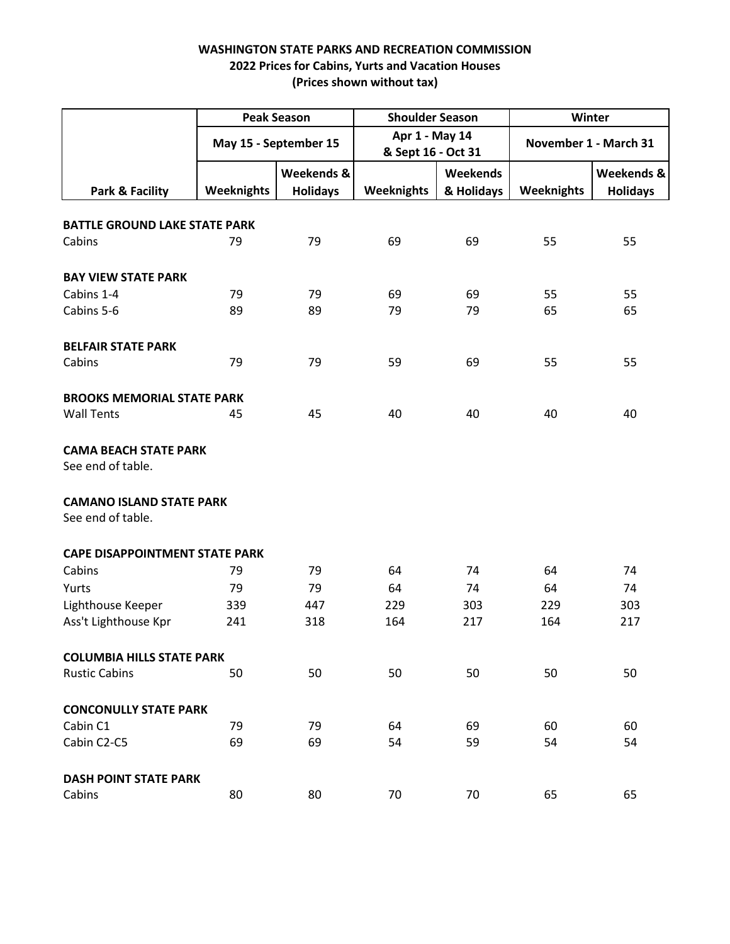|                                          | <b>Peak Season</b><br>May 15 - September 15 |                               | <b>Shoulder Season</b><br>Apr 1 - May 14<br>& Sept 16 - Oct 31 |                               | Winter<br>November 1 - March 31 |                               |  |  |
|------------------------------------------|---------------------------------------------|-------------------------------|----------------------------------------------------------------|-------------------------------|---------------------------------|-------------------------------|--|--|
|                                          |                                             |                               |                                                                |                               |                                 |                               |  |  |
| Park & Facility                          | <b>Weeknights</b>                           | Weekends &<br><b>Holidays</b> | <b>Weeknights</b>                                              | <b>Weekends</b><br>& Holidays | <b>Weeknights</b>               | Weekends &<br><b>Holidays</b> |  |  |
|                                          |                                             |                               |                                                                |                               |                                 |                               |  |  |
| <b>BATTLE GROUND LAKE STATE PARK</b>     |                                             |                               |                                                                |                               |                                 |                               |  |  |
| Cabins                                   | 79                                          | 79                            | 69                                                             | 69                            | 55                              | 55                            |  |  |
|                                          |                                             |                               |                                                                |                               |                                 |                               |  |  |
| <b>BAY VIEW STATE PARK</b><br>Cabins 1-4 | 79                                          | 79                            | 69                                                             | 69                            | 55                              | 55                            |  |  |
| Cabins 5-6                               | 89                                          | 89                            | 79                                                             | 79                            | 65                              | 65                            |  |  |
|                                          |                                             |                               |                                                                |                               |                                 |                               |  |  |
| <b>BELFAIR STATE PARK</b>                |                                             |                               |                                                                |                               |                                 |                               |  |  |
| Cabins                                   | 79                                          | 79                            | 59                                                             | 69                            | 55                              | 55                            |  |  |
|                                          |                                             |                               |                                                                |                               |                                 |                               |  |  |
| <b>BROOKS MEMORIAL STATE PARK</b>        |                                             |                               |                                                                |                               |                                 |                               |  |  |
| <b>Wall Tents</b>                        | 45                                          | 45                            | 40                                                             | 40                            | 40                              | 40                            |  |  |
|                                          |                                             |                               |                                                                |                               |                                 |                               |  |  |
| <b>CAMA BEACH STATE PARK</b>             |                                             |                               |                                                                |                               |                                 |                               |  |  |
| See end of table.                        |                                             |                               |                                                                |                               |                                 |                               |  |  |
| <b>CAMANO ISLAND STATE PARK</b>          |                                             |                               |                                                                |                               |                                 |                               |  |  |
| See end of table.                        |                                             |                               |                                                                |                               |                                 |                               |  |  |
| <b>CAPE DISAPPOINTMENT STATE PARK</b>    |                                             |                               |                                                                |                               |                                 |                               |  |  |
| Cabins                                   | 79                                          | 79                            | 64                                                             | 74                            | 64                              | 74                            |  |  |
| Yurts                                    | 79                                          | 79                            | 64                                                             | 74                            | 64                              | 74                            |  |  |
| Lighthouse Keeper                        | 339                                         | 447                           | 229                                                            | 303                           | 229                             | 303                           |  |  |
| Ass't Lighthouse Kpr                     | 241                                         | 318                           | 164                                                            | 217                           | 164                             | 217                           |  |  |
|                                          |                                             |                               |                                                                |                               |                                 |                               |  |  |
| <b>COLUMBIA HILLS STATE PARK</b>         |                                             |                               |                                                                |                               |                                 |                               |  |  |
| <b>Rustic Cabins</b>                     | 50                                          | 50                            | 50                                                             | 50                            | 50                              | 50                            |  |  |
|                                          |                                             |                               |                                                                |                               |                                 |                               |  |  |
| <b>CONCONULLY STATE PARK</b>             |                                             |                               |                                                                |                               |                                 |                               |  |  |
| Cabin C1                                 | 79                                          | 79                            | 64                                                             | 69                            | 60                              | 60                            |  |  |
| Cabin C2-C5                              | 69                                          | 69                            | 54                                                             | 59                            | 54                              | 54                            |  |  |
| <b>DASH POINT STATE PARK</b>             |                                             |                               |                                                                |                               |                                 |                               |  |  |
| Cabins                                   | 80                                          | 80                            | 70                                                             | 70                            | 65                              | 65                            |  |  |
|                                          |                                             |                               |                                                                |                               |                                 |                               |  |  |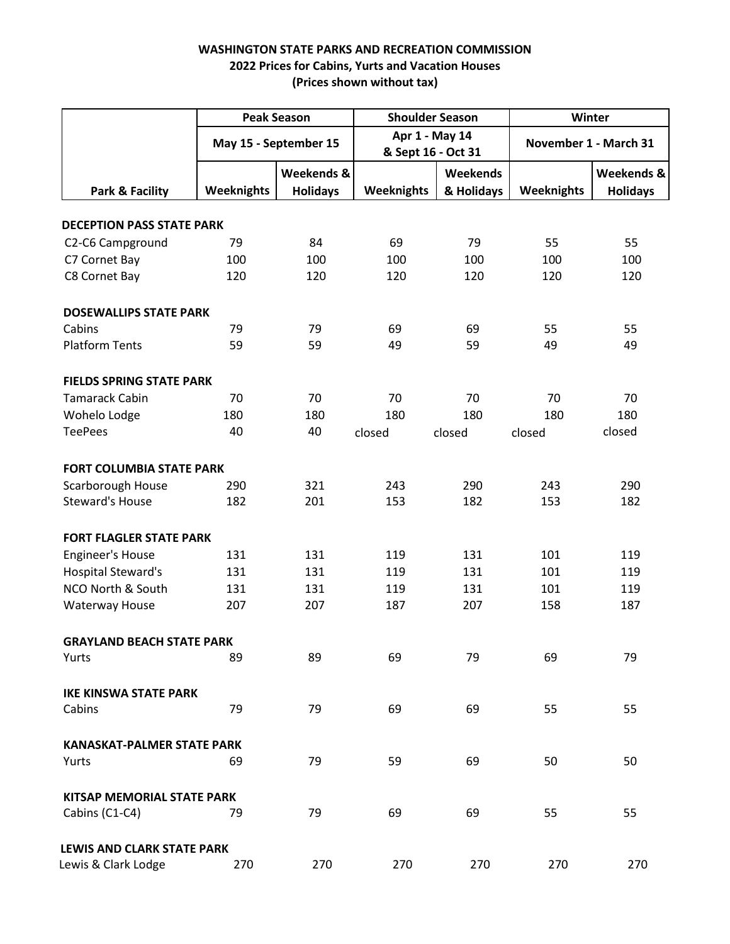|                                   | <b>Peak Season</b><br>May 15 - September 15 |                               | <b>Shoulder Season</b><br>Apr 1 - May 14<br>& Sept 16 - Oct 31 |                        | Winter<br>November 1 - March 31 |                               |
|-----------------------------------|---------------------------------------------|-------------------------------|----------------------------------------------------------------|------------------------|---------------------------------|-------------------------------|
|                                   |                                             |                               |                                                                |                        |                                 |                               |
| Park & Facility                   | <b>Weeknights</b>                           | Weekends &<br><b>Holidays</b> | <b>Weeknights</b>                                              | Weekends<br>& Holidays | <b>Weeknights</b>               | Weekends &<br><b>Holidays</b> |
| <b>DECEPTION PASS STATE PARK</b>  |                                             |                               |                                                                |                        |                                 |                               |
| C2-C6 Campground                  | 79                                          | 84                            | 69                                                             | 79                     | 55                              | 55                            |
| C7 Cornet Bay                     | 100                                         | 100                           | 100                                                            | 100                    | 100                             | 100                           |
| C8 Cornet Bay                     | 120                                         | 120                           | 120                                                            | 120                    | 120                             | 120                           |
| <b>DOSEWALLIPS STATE PARK</b>     |                                             |                               |                                                                |                        |                                 |                               |
| Cabins                            | 79                                          | 79                            | 69                                                             | 69                     | 55                              | 55                            |
| <b>Platform Tents</b>             | 59                                          | 59                            | 49                                                             | 59                     | 49                              | 49                            |
| <b>FIELDS SPRING STATE PARK</b>   |                                             |                               |                                                                |                        |                                 |                               |
| <b>Tamarack Cabin</b>             | 70                                          | 70                            | 70                                                             | 70                     | 70                              | 70                            |
| Wohelo Lodge                      | 180                                         | 180                           | 180                                                            | 180                    | 180                             | 180                           |
| <b>TeePees</b>                    | 40                                          | 40                            | closed                                                         | closed                 | closed                          | closed                        |
| <b>FORT COLUMBIA STATE PARK</b>   |                                             |                               |                                                                |                        |                                 |                               |
| Scarborough House                 | 290                                         | 321                           | 243                                                            | 290                    | 243                             | 290                           |
| <b>Steward's House</b>            | 182                                         | 201                           | 153                                                            | 182                    | 153                             | 182                           |
| <b>FORT FLAGLER STATE PARK</b>    |                                             |                               |                                                                |                        |                                 |                               |
| <b>Engineer's House</b>           | 131                                         | 131                           | 119                                                            | 131                    | 101                             | 119                           |
| <b>Hospital Steward's</b>         | 131                                         | 131                           | 119                                                            | 131                    | 101                             | 119                           |
| <b>NCO North &amp; South</b>      | 131                                         | 131                           | 119                                                            | 131                    | 101                             | 119                           |
| <b>Waterway House</b>             | 207                                         | 207                           | 187                                                            | 207                    | 158                             | 187                           |
| <b>GRAYLAND BEACH STATE PARK</b>  |                                             |                               |                                                                |                        |                                 |                               |
| Yurts                             | 89                                          | 89                            | 69                                                             | 79                     | 69                              | 79                            |
| <b>IKE KINSWA STATE PARK</b>      |                                             |                               |                                                                |                        |                                 |                               |
| Cabins                            | 79                                          | 79                            | 69                                                             | 69                     | 55                              | 55                            |
| <b>KANASKAT-PALMER STATE PARK</b> |                                             |                               |                                                                |                        |                                 |                               |
| Yurts                             | 69                                          | 79                            | 59                                                             | 69                     | 50                              | 50                            |
| KITSAP MEMORIAL STATE PARK        |                                             |                               |                                                                |                        |                                 |                               |
| Cabins (C1-C4)                    | 79                                          | 79                            | 69                                                             | 69                     | 55                              | 55                            |
| <b>LEWIS AND CLARK STATE PARK</b> |                                             |                               |                                                                |                        |                                 |                               |
| Lewis & Clark Lodge               | 270                                         | 270                           | 270                                                            | 270                    | 270                             | 270                           |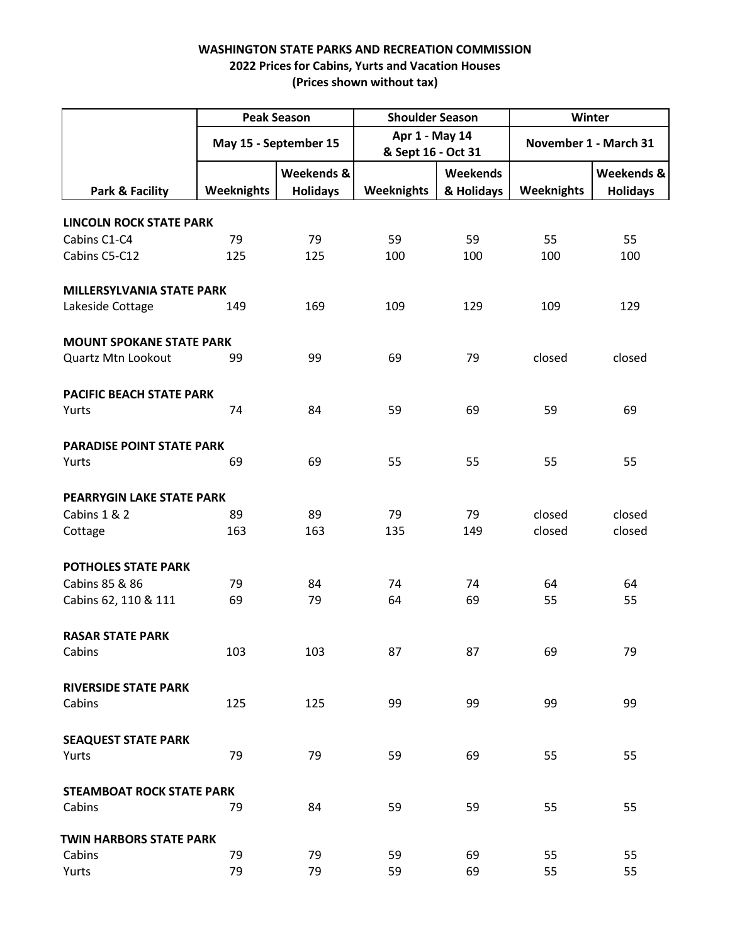|                                  | <b>Peak Season</b>    |                               | <b>Shoulder Season</b>               |                        | Winter                |                               |
|----------------------------------|-----------------------|-------------------------------|--------------------------------------|------------------------|-----------------------|-------------------------------|
|                                  | May 15 - September 15 |                               | Apr 1 - May 14<br>& Sept 16 - Oct 31 |                        | November 1 - March 31 |                               |
| Park & Facility                  | <b>Weeknights</b>     | Weekends &<br><b>Holidays</b> | <b>Weeknights</b>                    | Weekends<br>& Holidays | <b>Weeknights</b>     | Weekends &<br><b>Holidays</b> |
| <b>LINCOLN ROCK STATE PARK</b>   |                       |                               |                                      |                        |                       |                               |
| Cabins C1-C4                     | 79                    | 79                            | 59                                   | 59                     | 55                    | 55                            |
| Cabins C5-C12                    | 125                   | 125                           | 100                                  | 100                    | 100                   | 100                           |
| <b>MILLERSYLVANIA STATE PARK</b> |                       |                               |                                      |                        |                       |                               |
| Lakeside Cottage                 | 149                   | 169                           | 109                                  | 129                    | 109                   | 129                           |
| <b>MOUNT SPOKANE STATE PARK</b>  |                       |                               |                                      |                        |                       |                               |
| Quartz Mtn Lookout               | 99                    | 99                            | 69                                   | 79                     | closed                | closed                        |
| PACIFIC BEACH STATE PARK         |                       |                               |                                      |                        |                       |                               |
| Yurts                            | 74                    | 84                            | 59                                   | 69                     | 59                    | 69                            |
| <b>PARADISE POINT STATE PARK</b> |                       |                               |                                      |                        |                       |                               |
| Yurts                            | 69                    | 69                            | 55                                   | 55                     | 55                    | 55                            |
| PEARRYGIN LAKE STATE PARK        |                       |                               |                                      |                        |                       |                               |
| Cabins 1 & 2                     | 89                    | 89                            | 79                                   | 79                     | closed                | closed                        |
| Cottage                          | 163                   | 163                           | 135                                  | 149                    | closed                | closed                        |
| <b>POTHOLES STATE PARK</b>       |                       |                               |                                      |                        |                       |                               |
| Cabins 85 & 86                   | 79                    | 84                            | 74                                   | 74                     | 64                    | 64                            |
| Cabins 62, 110 & 111             | 69                    | 79                            | 64                                   | 69                     | 55                    | 55                            |
| <b>RASAR STATE PARK</b>          |                       |                               |                                      |                        |                       |                               |
| Cabins                           | 103                   | 103                           | 87                                   | 87                     | 69                    | 79                            |
| <b>RIVERSIDE STATE PARK</b>      |                       |                               |                                      |                        |                       |                               |
| Cabins                           | 125                   | 125                           | 99                                   | 99                     | 99                    | 99                            |
| <b>SEAQUEST STATE PARK</b>       |                       |                               |                                      |                        |                       |                               |
| Yurts                            | 79                    | 79                            | 59                                   | 69                     | 55                    | 55                            |
| <b>STEAMBOAT ROCK STATE PARK</b> |                       |                               |                                      |                        |                       |                               |
| Cabins                           | 79                    | 84                            | 59                                   | 59                     | 55                    | 55                            |
| <b>TWIN HARBORS STATE PARK</b>   |                       |                               |                                      |                        |                       |                               |
| Cabins                           | 79                    | 79                            | 59                                   | 69                     | 55                    | 55                            |
| Yurts                            | 79                    | 79                            | 59                                   | 69                     | 55                    | 55                            |